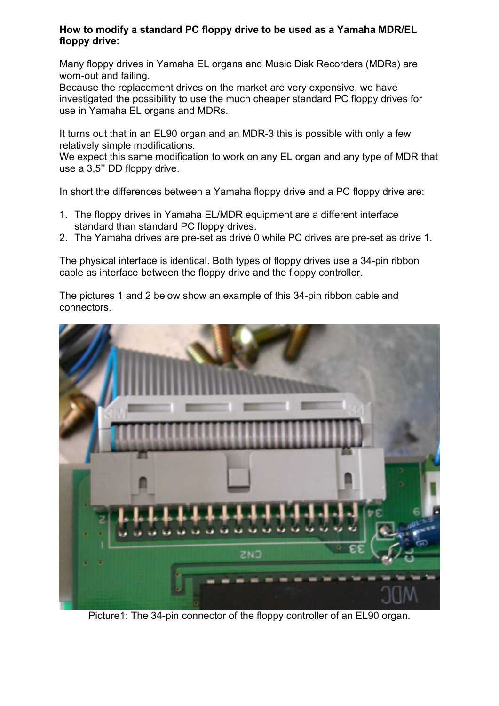#### **How to modify a standard PC floppy drive to be used as a Yamaha MDR/EL floppy drive:**

Many floppy drives in Yamaha EL organs and Music Disk Recorders (MDRs) are worn-out and failing.

Because the replacement drives on the market are very expensive, we have investigated the possibility to use the much cheaper standard PC floppy drives for use in Yamaha EL organs and MDRs.

It turns out that in an EL90 organ and an MDR-3 this is possible with only a few relatively simple modifications.

We expect this same modification to work on any EL organ and any type of MDR that use a 3,5'' DD floppy drive.

In short the differences between a Yamaha floppy drive and a PC floppy drive are:

- 1. The floppy drives in Yamaha EL/MDR equipment are a different interface standard than standard PC floppy drives.
- 2. The Yamaha drives are pre-set as drive 0 while PC drives are pre-set as drive 1.

The physical interface is identical. Both types of floppy drives use a 34-pin ribbon cable as interface between the floppy drive and the floppy controller.

The pictures 1 and 2 below show an example of this 34-pin ribbon cable and connectors.



Picture1: The 34-pin connector of the floppy controller of an EL90 organ.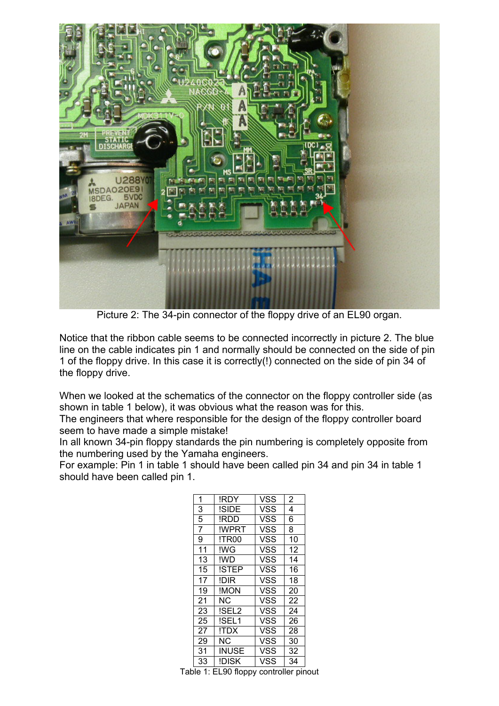

Picture 2: The 34-pin connector of the floppy drive of an EL90 organ.

Notice that the ribbon cable seems to be connected incorrectly in picture 2. The blue line on the cable indicates pin 1 and normally should be connected on the side of pin 1 of the floppy drive. In this case it is correctly(!) connected on the side of pin 34 of the floppy drive.

When we looked at the schematics of the connector on the floppy controller side (as shown in table 1 below), it was obvious what the reason was for this.

The engineers that where responsible for the design of the floppy controller board seem to have made a simple mistake!

In all known 34-pin floppy standards the pin numbering is completely opposite from the numbering used by the Yamaha engineers.

For example: Pin 1 in table 1 should have been called pin 34 and pin 34 in table 1 should have been called pin 1.

| 1              | !RDY        | <b>VSS</b> | 2  |
|----------------|-------------|------------|----|
| 3              | !SIDE       | VSS        | 4  |
| $\overline{5}$ | !RDD        | <b>VSS</b> | 6  |
| $\overline{7}$ | !WPRT       | <b>VSS</b> | 8  |
| $\overline{9}$ | !TR00       | <b>VSS</b> | 10 |
| 11             | !WG         | <b>VSS</b> | 12 |
| 13             | !WD         | <b>VSS</b> | 14 |
| 15             | !STEP       | VSS        | 16 |
| 17             | <b>IDIR</b> | <b>VSS</b> | 18 |
| 19             | !MON        | <b>VSS</b> | 20 |
| 21             | NC.         | <b>VSS</b> | 22 |
| 23             | !SEL2       | VSS        | 24 |
| 25             | !SEL1       | VSS        | 26 |
| 27             | !TDX        | <b>VSS</b> | 28 |
| 29             | <b>NC</b>   | <b>VSS</b> | 30 |
| 31             | INUSE       | VSS        | 32 |
| 33             | !DISK       | VSS        | 34 |

Table 1: EL90 floppy controller pinout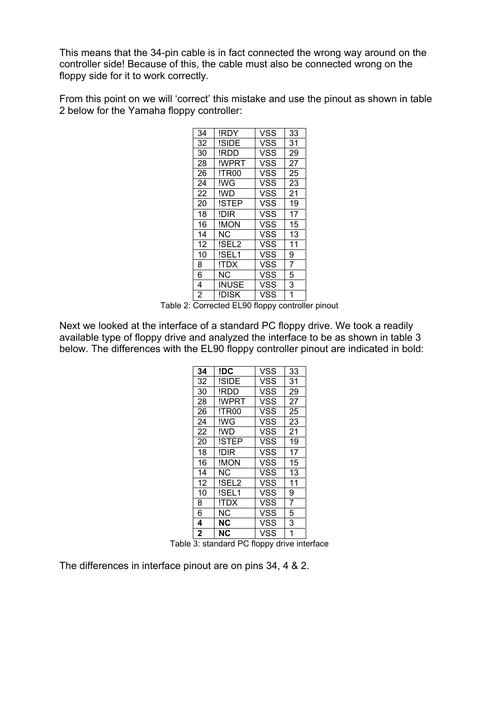This means that the 34-pin cable is in fact connected the wrong way around on the controller side! Because of this, the cable must also be connected wrong on the floppy side for it to work correctly.

From this point on we will 'correct' this mistake and use the pinout as shown in table 2 below for the Yamaha floppy controller:

| 34             | !RDY         | VSS        | 33 |
|----------------|--------------|------------|----|
| 32             | !SIDE        | VSS        | 31 |
| 30             | !RDD         | VSS        | 29 |
| 28             | !WPRT        | <b>VSS</b> | 27 |
| 26             | !TR00        | VSS        | 25 |
| 24             | !WG          | VSS        | 23 |
| 22             | !WD          | VSS        | 21 |
| 20             | <b>ISTEP</b> | VSS        | 19 |
| 18             | !DIR         | VSS        | 17 |
| 16             | !MON         | VSS        | 15 |
| 14             | NC.          | <b>VSS</b> | 13 |
| 12             | !SEL2        | VSS        | 11 |
| 10             | !SEL1        | VSS        | 9  |
| 8              | !TDX         | VSS        | 7  |
| 6              | NC.          | <b>VSS</b> | 5  |
| 4              | <b>INUSE</b> | VSS        | 3  |
| $\overline{2}$ | !DISK        | VSS        | 1  |

Table 2: Corrected EL90 floppy controller pinout

Next we looked at the interface of a standard PC floppy drive. We took a readily available type of floppy drive and analyzed the interface to be as shown in table 3 below. The differences with the EL90 floppy controller pinout are indicated in bold:

| 34           | !DC       | <b>VSS</b> | 33             |
|--------------|-----------|------------|----------------|
| 32           | !SIDE     | VSS        | 31             |
| 30           | !RDD      | VSS        | 29             |
| 28           | !WPRT     | VSS        | 27             |
| 26           | !TR00     | VSS        | 25             |
| 24           | !WG       | <b>VSS</b> | 23             |
| 22           | !WD       | VSS        | 21             |
| 20           | !STEP     | VSS        | 19             |
| 18           | !DIR      | VSS        | 17             |
| 16           | !MON      | <b>VSS</b> | 15             |
| 14           | NC.       | VSS        | 13             |
| 12           | !SEL2     | VSS        | 11             |
| 10           | !SEL1     | VSS        | 9              |
| 8            | !TDX      | VSS        | 7              |
| 6            | <b>NC</b> | <b>VSS</b> | 5              |
| 4            | NC        | VSS        | 3              |
| $\mathbf{2}$ | <b>NC</b> | VSS        | $\overline{1}$ |

Table 3: standard PC floppy drive interface

The differences in interface pinout are on pins 34, 4 & 2.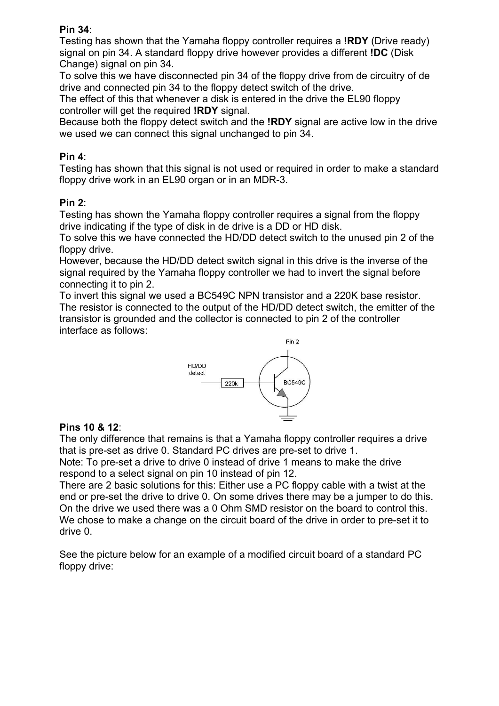## **Pin 34**:

Testing has shown that the Yamaha floppy controller requires a **!RDY** (Drive ready) signal on pin 34. A standard floppy drive however provides a different **!DC** (Disk Change) signal on pin 34.

To solve this we have disconnected pin 34 of the floppy drive from de circuitry of de drive and connected pin 34 to the floppy detect switch of the drive.

The effect of this that whenever a disk is entered in the drive the EL90 floppy controller will get the required **!RDY** signal.

Because both the floppy detect switch and the **!RDY** signal are active low in the drive we used we can connect this signal unchanged to pin 34.

## **Pin 4**:

Testing has shown that this signal is not used or required in order to make a standard floppy drive work in an EL90 organ or in an MDR-3.

#### **Pin 2**:

Testing has shown the Yamaha floppy controller requires a signal from the floppy drive indicating if the type of disk in de drive is a DD or HD disk.

To solve this we have connected the HD/DD detect switch to the unused pin 2 of the floppy drive.

However, because the HD/DD detect switch signal in this drive is the inverse of the signal required by the Yamaha floppy controller we had to invert the signal before connecting it to pin 2.

To invert this signal we used a BC549C NPN transistor and a 220K base resistor. The resistor is connected to the output of the HD/DD detect switch, the emitter of the transistor is grounded and the collector is connected to pin 2 of the controller interface as follows:



# **Pins 10 & 12**:

The only difference that remains is that a Yamaha floppy controller requires a drive that is pre-set as drive 0. Standard PC drives are pre-set to drive 1.

Note: To pre-set a drive to drive 0 instead of drive 1 means to make the drive respond to a select signal on pin 10 instead of pin 12.

There are 2 basic solutions for this: Either use a PC floppy cable with a twist at the end or pre-set the drive to drive 0. On some drives there may be a jumper to do this. On the drive we used there was a 0 Ohm SMD resistor on the board to control this. We chose to make a change on the circuit board of the drive in order to pre-set it to drive 0.

See the picture below for an example of a modified circuit board of a standard PC floppy drive: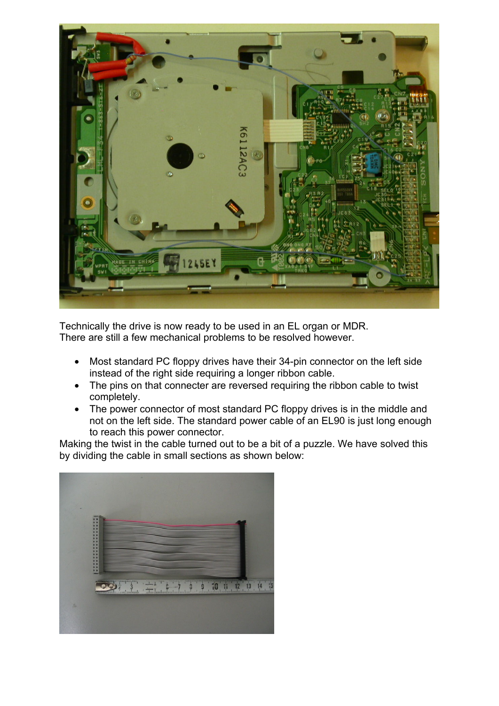

Technically the drive is now ready to be used in an EL organ or MDR. There are still a few mechanical problems to be resolved however.

- Most standard PC floppy drives have their 34-pin connector on the left side instead of the right side requiring a longer ribbon cable.
- The pins on that connecter are reversed requiring the ribbon cable to twist completely.
- The power connector of most standard PC floppy drives is in the middle and not on the left side. The standard power cable of an EL90 is just long enough to reach this power connector.

Making the twist in the cable turned out to be a bit of a puzzle. We have solved this by dividing the cable in small sections as shown below:

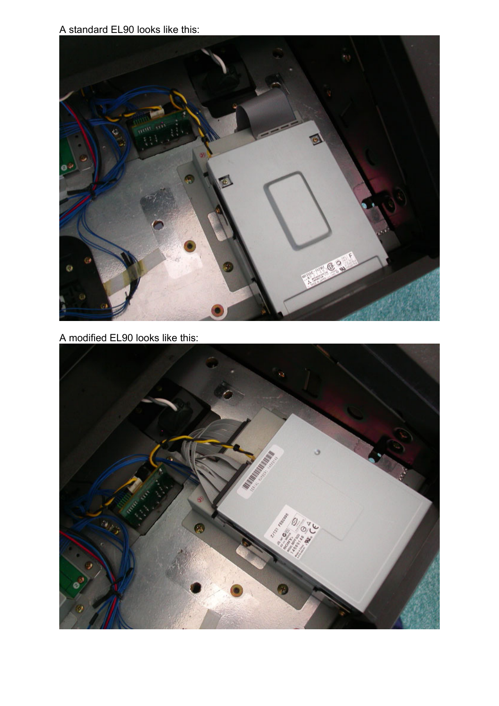A standard EL90 looks like this:



A modified EL90 looks like this: